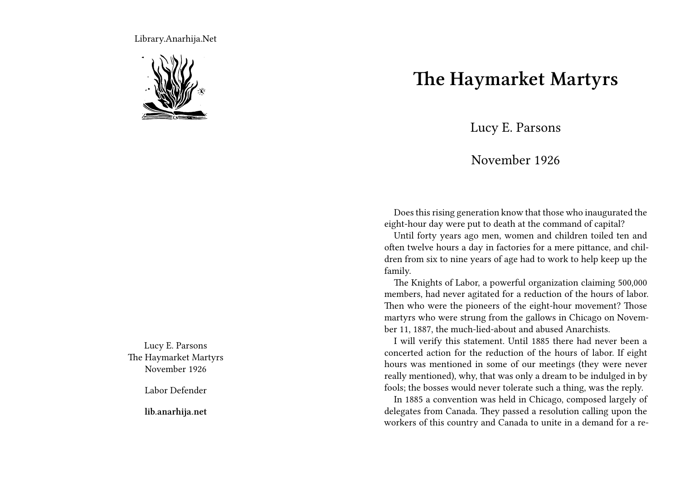Library.Anarhija.Net



Lucy E. Parsons The Haymarket Martyrs November 1926

Labor Defender

**lib.anarhija.net**

## **The Haymarket Martyrs**

Lucy E. Parsons

## November 1926

Does this rising generation know that those who inaugurated the eight-hour day were put to death at the command of capital?

Until forty years ago men, women and children toiled ten and often twelve hours a day in factories for a mere pittance, and children from six to nine years of age had to work to help keep up the family.

The Knights of Labor, a powerful organization claiming 500,000 members, had never agitated for a reduction of the hours of labor. Then who were the pioneers of the eight-hour movement? Those martyrs who were strung from the gallows in Chicago on November 11, 1887, the much-lied-about and abused Anarchists.

I will verify this statement. Until 1885 there had never been a concerted action for the reduction of the hours of labor. If eight hours was mentioned in some of our meetings (they were never really mentioned), why, that was only a dream to be indulged in by fools; the bosses would never tolerate such a thing, was the reply.

In 1885 a convention was held in Chicago, composed largely of delegates from Canada. They passed a resolution calling upon the workers of this country and Canada to unite in a demand for a re